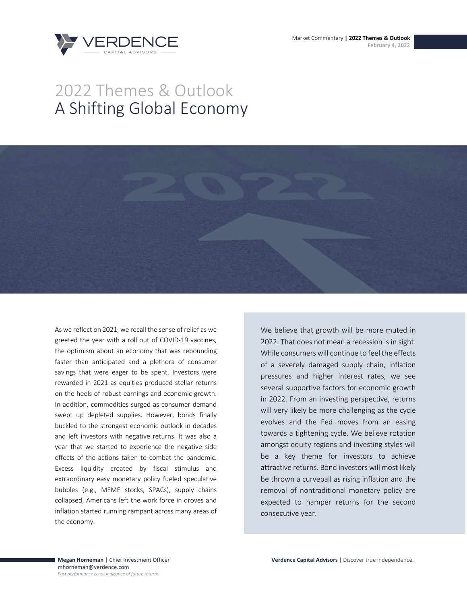Market Commentary **| 2022 Themes & Outlook February 4, 2022**



# 2022 Themes & Outlook A Shifting Global Economy



As we reflect on 2021, we recall the sense of relief as we greeted the year with a roll out of COVID-19 vaccines, the optimism about an economy that was rebounding faster than anticipated and a plethora of consumer savings that were eager to be spent. Investors were rewarded in 2021 as equities produced stellar returns on the heels of robust earnings and economic growth. In addition, commodities surged as consumer demand swept up depleted supplies. However, bonds finally buckled to the strongest economic outlook in decades and left investors with negative returns. It was also a year that we started to experience the negative side effects of the actions taken to combat the pandemic. Excess liquidity created by fiscal stimulus and extraordinary easy monetary policy fueled speculative bubbles (e.g., MEME stocks, SPACs), supply chains collapsed, Americans left the work force in droves and inflation started running rampant across many areas of the economy.

We believe that growth will be more muted in 2022. That does not mean a recession is in sight. While consumers will continue to feel the effects of a severely damaged supply chain, inflation pressures and higher interest rates, we see several supportive factors for economic growth in 2022. From an investing perspective, returns will very likely be more challenging as the cycle evolves and the Fed moves from an easing towards a tightening cycle. We believe rotation amongst equity regions and investing styles will be a key theme for investors to achieve attractive returns. Bond investors will most likely be thrown a curveball as rising inflation and the removal of nontraditional monetary policy are expected to hamper returns for the second consecutive year.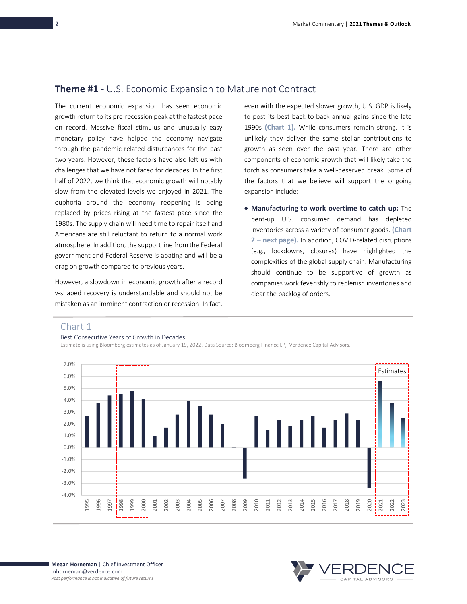## **Theme #1** - U.S. Economic Expansion to Mature not Contract

The current economic expansion has seen economic growth return to its pre-recession peak at the fastest pace on record. Massive fiscal stimulus and unusually easy monetary policy have helped the economy navigate through the pandemic related disturbances for the past two years. However, these factors have also left us with challenges that we have not faced for decades. In the first half of 2022, we think that economic growth will notably slow from the elevated levels we enjoyed in 2021. The euphoria around the economy reopening is being replaced by prices rising at the fastest pace since the 1980s. The supply chain will need time to repair itself and Americans are still reluctant to return to a normal work atmosphere. In addition, the support line from the Federal government and Federal Reserve is abating and will be a drag on growth compared to previous years.

However, a slowdown in economic growth after a record v-shaped recovery is understandable and should not be mistaken as an imminent contraction or recession. In fact, even with the expected slower growth, U.S. GDP is likely to post its best back-to-back annual gains since the late 1990s **(Chart 1).** While consumers remain strong, it is unlikely they deliver the same stellar contributions to growth as seen over the past year. There are other components of economic growth that will likely take the torch as consumers take a well-deserved break. Some of the factors that we believe will support the ongoing expansion include:

• **Manufacturing to work overtime to catch up:** The pent-up U.S. consumer demand has depleted inventories across a variety of consumer goods. **(Chart 2 – next page).** In addition, COVID-related disruptions (e.g., lockdowns, closures) have highlighted the complexities of the global supply chain. Manufacturing should continue to be supportive of growth as companies work feverishly to replenish inventories and clear the backlog of orders.

## Chart 1

#### Best Consecutive Years of Growth in Decades





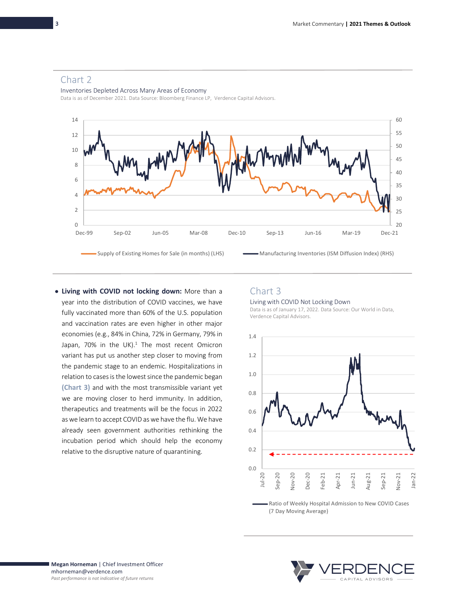

## Chart 2

Inventories Depleted Across Many Areas of Economy

Data is as of December 2021. Data Source: Bloomberg Finance LP, Verdence Capital Advisors.

• **Living with COVID not locking down:** More than a year into the distribution of COVID vaccines, we have fully vaccinated more than 60% of the U.S. population and vaccination rates are even higher in other major economies (e.g., 84% in China, 72% in Germany, 79% in Japan, 70% in the UK). $1$  The most recent Omicron variant has put us another step closer to moving from the pandemic stage to an endemic. Hospitalizations in relation to cases is the lowest since the pandemic began **(Chart 3)** and with the most transmissible variant yet we are moving closer to herd immunity. In addition, therapeutics and treatments will be the focus in 2022 as we learn to accept COVID as we have the flu. We have already seen government authorities rethinking the incubation period which should help the economy relative to the disruptive nature of quarantining.

## Chart 3

#### Living with COVID Not Locking Down

Data is as of January 17, 2022. Data Source: Our World in Data, Verdence Capital Advisors.



Ratio of Weekly Hospital Admission to New COVID Cases (7 Day Moving Average)

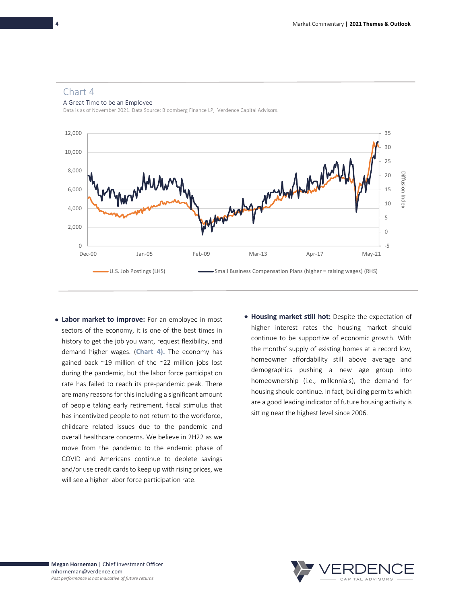### Chart 4

A Great Time to be an Employee

Data is as of November 2021. Data Source: Bloomberg Finance LP, Verdence Capital Advisors.



- **Labor market to improve:** For an employee in most sectors of the economy, it is one of the best times in history to get the job you want, request flexibility, and demand higher wages. (**Chart 4).** The economy has gained back ~19 million of the ~22 million jobs lost during the pandemic, but the labor force participation rate has failed to reach its pre-pandemic peak. There are many reasons for this including a significant amount of people taking early retirement, fiscal stimulus that has incentivized people to not return to the workforce, childcare related issues due to the pandemic and overall healthcare concerns. We believe in 2H22 as we move from the pandemic to the endemic phase of COVID and Americans continue to deplete savings and/or use credit cards to keep up with rising prices, we will see a higher labor force participation rate.
- **Housing market still hot:** Despite the expectation of higher interest rates the housing market should continue to be supportive of economic growth. With the months' supply of existing homes at a record low, homeowner affordability still above average and demographics pushing a new age group into homeownership (i.e., millennials), the demand for housing should continue. In fact, building permits which are a good leading indicator of future housing activity is sitting near the highest level since 2006.

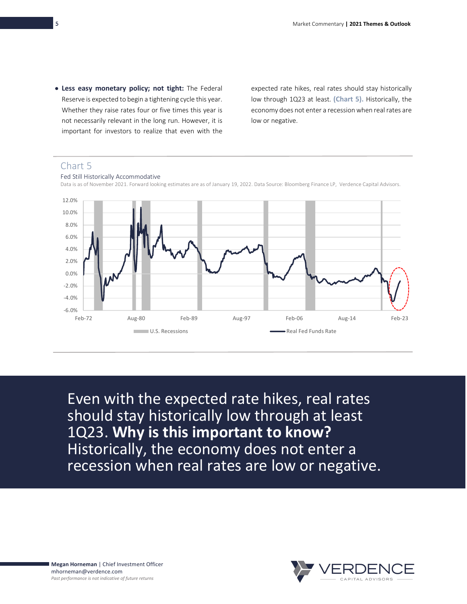• **Less easy monetary policy; not tight:** The Federal Reserve is expected to begin a tightening cycle this year. Whether they raise rates four or five times this year is not necessarily relevant in the long run. However, it is important for investors to realize that even with the

expected rate hikes, real rates should stay historically low through 1Q23 at least. **(Chart 5).** Historically, the economy does not enter a recession when real rates are low or negative.

# Chart 5

Fed Still Historically Accommodative



Data is as of November 2021. Forward looking estimates are as of January 19, 2022. Data Source: Bloomberg Finance LP, Verdence Capital Advisors.

Even with the expected rate hikes, real rates should stay historically low through at least 1Q23. **Why is this important to know?** Historically, the economy does not enter a recession when real rates are low or negative.

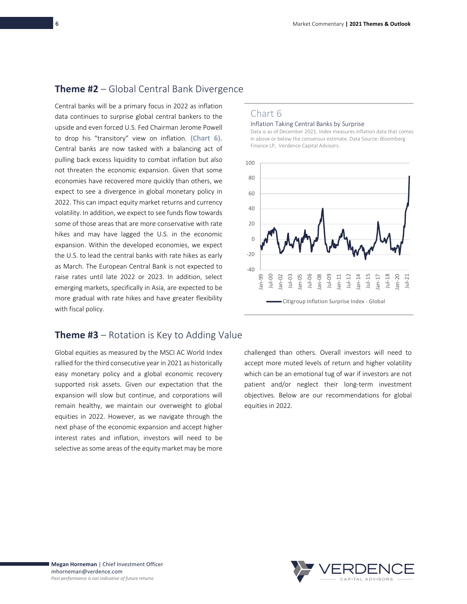# **Theme #2** – Global Central Bank Divergence

Central banks will be a primary focus in 2022 as inflation data continues to surprise global central bankers to the upside and even forced U.S. Fed Chairman Jerome Powell to drop his "transitory" view on inflation. **(Chart 6).**  Central banks are now tasked with a balancing act of pulling back excess liquidity to combat inflation but also not threaten the economic expansion. Given that some economies have recovered more quickly than others, we expect to see a divergence in global monetary policy in 2022. This can impact equity market returns and currency volatility. In addition, we expect to see funds flow towards some of those areas that are more conservative with rate hikes and may have lagged the U.S. in the economic expansion. Within the developed economies, we expect the U.S. to lead the central banks with rate hikes as early as March. The European Central Bank is not expected to raise rates until late 2022 or 2023. In addition, select emerging markets, specifically in Asia, are expected to be more gradual with rate hikes and have greater flexibility with fiscal policy.

# **Theme #3** – Rotation is Key to Adding Value

Global equities as measured by the MSCI AC World Index rallied for the third consecutive year in 2021 as historically easy monetary policy and a global economic recovery supported risk assets. Given our expectation that the expansion will slow but continue, and corporations will remain healthy, we maintain our overweight to global equities in 2022. However, as we navigate through the next phase of the economic expansion and accept higher interest rates and inflation, investors will need to be selective as some areas of the equity market may be more

## Chart 6

#### Inflation Taking Central Banks by Surprise

Data is as of December 2021. Index measures inflation data that comes in above or below the consensus estimate. Data Source: Bloomberg Finance LP, Verdence Capital Advisors.



challenged than others. Overall investors will need to accept more muted levels of return and higher volatility which can be an emotional tug of war if investors are not patient and/or neglect their long-term investment objectives. Below are our recommendations for global equities in 2022.

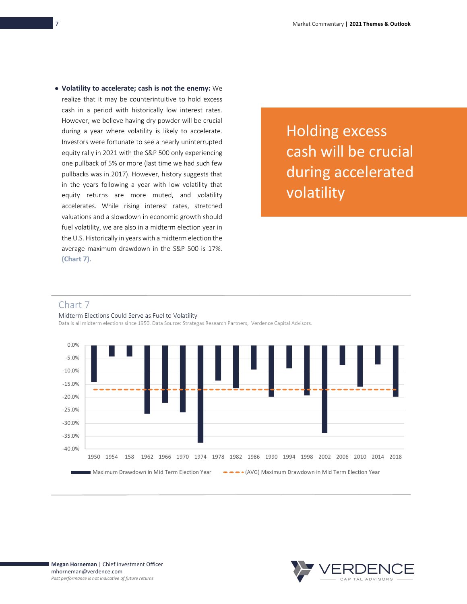• **Volatility to accelerate; cash is not the enemy:** We realize that it may be counterintuitive to hold excess cash in a period with historically low interest rates. However, we believe having dry powder will be crucial during a year where volatility is likely to accelerate. Investors were fortunate to see a nearly uninterrupted equity rally in 2021 with the S&P 500 only experiencing one pullback of 5% or more (last time we had such few pullbacks was in 2017). However, history suggests that in the years following a year with low volatility that equity returns are more muted, and volatility accelerates. While rising interest rates, stretched valuations and a slowdown in economic growth should fuel volatility, we are also in a midterm election year in the U.S. Historically in years with a midterm election the average maximum drawdown in the S&P 500 is 17%. **(Chart 7).**

Holding excess cash will be crucial during accelerated volatility

### Chart 7

#### Midterm Elections Could Serve as Fuel to Volatility

Data is all midterm elections since 1950. Data Source: Strategas Research Partners, Verdence Capital Advisors.



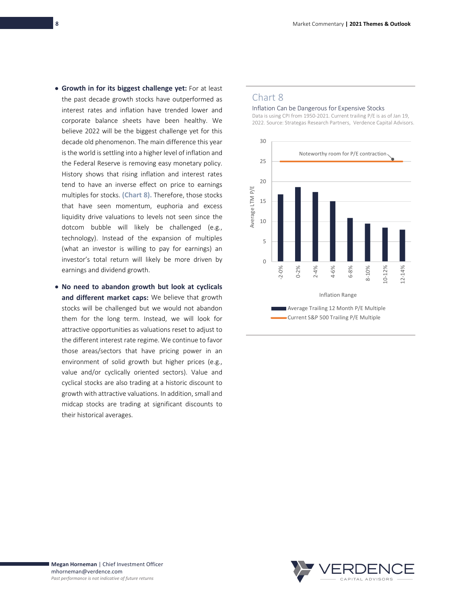- **Growth in for its biggest challenge yet:** For at least the past decade growth stocks have outperformed as interest rates and inflation have trended lower and corporate balance sheets have been healthy. We believe 2022 will be the biggest challenge yet for this decade old phenomenon. The main difference this year is the world is settling into a higher level of inflation and the Federal Reserve is removing easy monetary policy. History shows that rising inflation and interest rates tend to have an inverse effect on price to earnings multiples for stocks. **(Chart 8).** Therefore, those stocks that have seen momentum, euphoria and excess liquidity drive valuations to levels not seen since the dotcom bubble will likely be challenged (e.g., technology). Instead of the expansion of multiples (what an investor is willing to pay for earnings) an investor's total return will likely be more driven by earnings and dividend growth.
- **No need to abandon growth but look at cyclicals and different market caps:** We believe that growth stocks will be challenged but we would not abandon them for the long term. Instead, we will look for attractive opportunities as valuations reset to adjust to the different interest rate regime. We continue to favor those areas/sectors that have pricing power in an environment of solid growth but higher prices (e.g., value and/or cyclically oriented sectors). Value and cyclical stocks are also trading at a historic discount to growth with attractive valuations. In addition, small and midcap stocks are trading at significant discounts to their historical averages.

## Chart 8

Inflation Can be Dangerous for Expensive Stocks

Data is using CPI from 1950-2021. Current trailing P/E is as of Jan 19, 2022. Source: Strategas Research Partners, Verdence Capital Advisors.

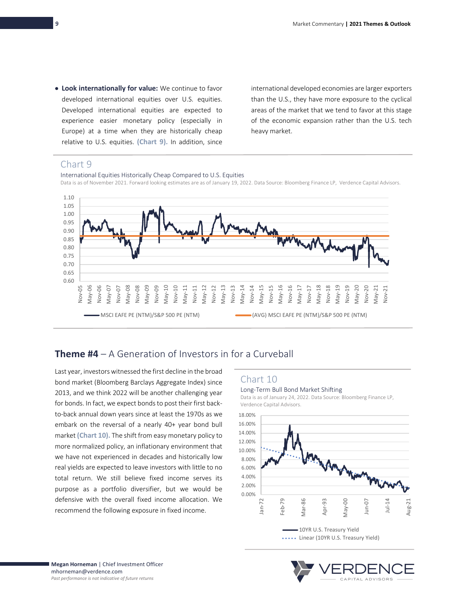• **Look internationally for value:** We continue to favor developed international equities over U.S. equities. Developed international equities are expected to experience easier monetary policy (especially in Europe) at a time when they are historically cheap relative to U.S. equities. **(Chart 9).** In addition, since international developed economies are larger exporters than the U.S., they have more exposure to the cyclical areas of the market that we tend to favor at this stage of the economic expansion rather than the U.S. tech heavy market.

## Chart 9

International Equities Historically Cheap Compared to U.S. Equities Data is as of November 2021. Forward looking estimates are as of January 19, 2022. Data Source: Bloomberg Finance LP, Verdence Capital Advisors.



# **Theme #4** – A Generation of Investors in for a Curveball

Last year, investors witnessed the first decline in the broad bond market (Bloomberg Barclays Aggregate Index) since 2013, and we think 2022 will be another challenging year for bonds. In fact, we expect bonds to post their first backto-back annual down years since at least the 1970s as we embark on the reversal of a nearly 40+ year bond bull market **(Chart 10).** The shift from easy monetary policy to more normalized policy, an inflationary environment that we have not experienced in decades and historically low real yields are expected to leave investors with little to no total return. We still believe fixed income serves its purpose as a portfolio diversifier, but we would be defensive with the overall fixed income allocation. We recommend the following exposure in fixed income.

## Chart 10

#### Long-Term Bull Bond Market Shifting

Data is as of January 24, 2022. Data Source: Bloomberg Finance LP, Verdence Capital Advisors.



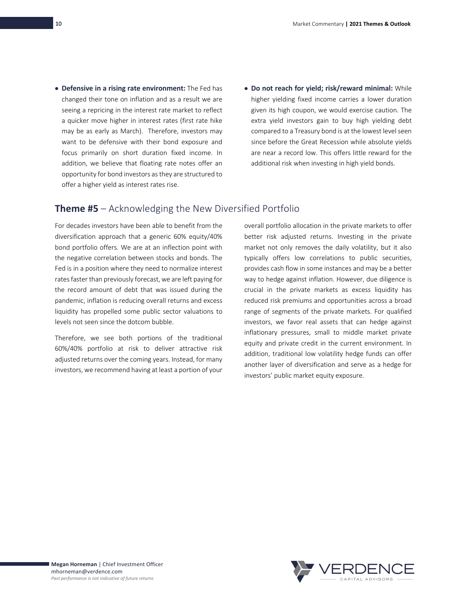- **Defensive in a rising rate environment:** The Fed has changed their tone on inflation and as a result we are seeing a repricing in the interest rate market to reflect a quicker move higher in interest rates (first rate hike may be as early as March). Therefore, investors may want to be defensive with their bond exposure and focus primarily on short duration fixed income. In addition, we believe that floating rate notes offer an opportunity for bond investors as they are structured to offer a higher yield as interest rates rise.
- **Do not reach for yield; risk/reward minimal:** While higher yielding fixed income carries a lower duration given its high coupon, we would exercise caution. The extra yield investors gain to buy high yielding debt compared to a Treasury bond is at the lowest level seen since before the Great Recession while absolute yields are near a record low. This offers little reward for the additional risk when investing in high yield bonds.

## **Theme #5** – Acknowledging the New Diversified Portfolio

For decades investors have been able to benefit from the diversification approach that a generic 60% equity/40% bond portfolio offers. We are at an inflection point with the negative correlation between stocks and bonds. The Fed is in a position where they need to normalize interest rates faster than previously forecast, we are left paying for the record amount of debt that was issued during the pandemic, inflation is reducing overall returns and excess liquidity has propelled some public sector valuations to levels not seen since the dotcom bubble.

Therefore, we see both portions of the traditional 60%/40% portfolio at risk to deliver attractive risk adjusted returns over the coming years. Instead, for many investors, we recommend having at least a portion of your overall portfolio allocation in the private markets to offer better risk adjusted returns. Investing in the private market not only removes the daily volatility, but it also typically offers low correlations to public securities, provides cash flow in some instances and may be a better way to hedge against inflation. However, due diligence is crucial in the private markets as excess liquidity has reduced risk premiums and opportunities across a broad range of segments of the private markets. For qualified investors, we favor real assets that can hedge against inflationary pressures, small to middle market private equity and private credit in the current environment. In addition, traditional low volatility hedge funds can offer another layer of diversification and serve as a hedge for investors' public market equity exposure.

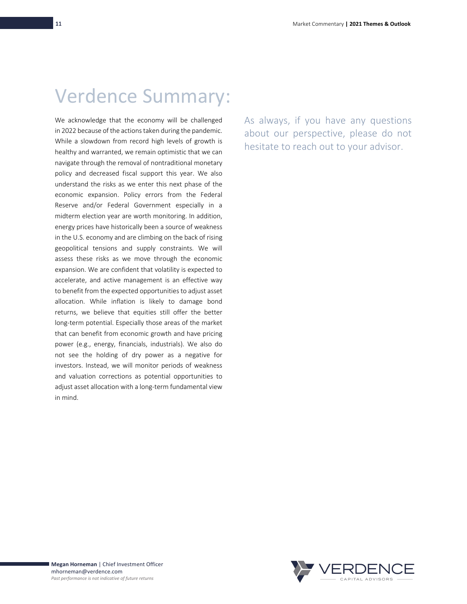# Verdence Summary:

We acknowledge that the economy will be challenged in 2022 because of the actions taken during the pandemic. While a slowdown from record high levels of growth is healthy and warranted, we remain optimistic that we can navigate through the removal of nontraditional monetary policy and decreased fiscal support this year. We also understand the risks as we enter this next phase of the economic expansion. Policy errors from the Federal Reserve and/or Federal Government especially in a midterm election year are worth monitoring. In addition, energy prices have historically been a source of weakness in the U.S. economy and are climbing on the back of rising geopolitical tensions and supply constraints. We will assess these risks as we move through the economic expansion. We are confident that volatility is expected to accelerate, and active management is an effective way to benefit from the expected opportunities to adjust asset allocation. While inflation is likely to damage bond returns, we believe that equities still offer the better long-term potential. Especially those areas of the market that can benefit from economic growth and have pricing power (e.g., energy, financials, industrials). We also do not see the holding of dry power as a negative for investors. Instead, we will monitor periods of weakness and valuation corrections as potential opportunities to adjust asset allocation with a long-term fundamental view in mind.

As always, if you have any questions about our perspective, please do not hesitate to reach out to your advisor.